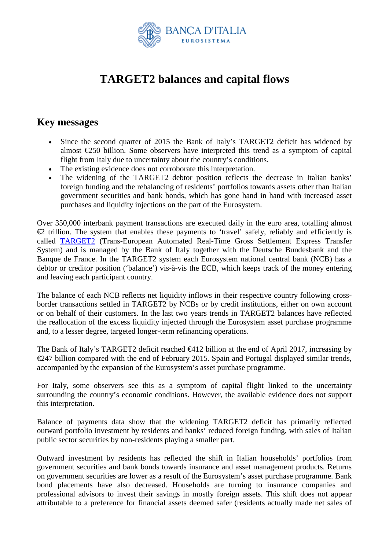

## **TARGET2 balances and capital flows**

## **Key messages**

- Since the second quarter of 2015 the Bank of Italy's TARGET2 deficit has widened by almost €250 billion. Some observers have interpreted this trend as a symptom of capital flight from Italy due to uncertainty about the country's conditions.
- The existing evidence does not corroborate this interpretation.
- The widening of the TARGET2 debtor position reflects the decrease in Italian banks' foreign funding and the rebalancing of residents' portfolios towards assets other than Italian government securities and bank bonds, which has gone hand in hand with increased asset purchases and liquidity injections on the part of the Eurosystem.

Over 350,000 interbank payment transactions are executed daily in the euro area, totalling almost  $\triangle$  trillion. The system that enables these payments to 'travel' safely, reliably and efficiently is called [TARGET2](http://www.bancaditalia.it/compiti/sispaga-mercati/target2/index.html?com.dotmarketing.htmlpage.language=1) (Trans-European Automated Real-Time Gross Settlement Express Transfer System) and is managed by the Bank of Italy together with the Deutsche Bundesbank and the Banque de France. In the TARGET2 system each Eurosystem national central bank (NCB) has a debtor or creditor position ('balance') vis-à-vis the ECB, which keeps track of the money entering and leaving each participant country.

The balance of each NCB reflects net liquidity inflows in their respective country following crossborder transactions settled in TARGET2 by NCBs or by credit institutions, either on own account or on behalf of their customers. In the last two years trends in TARGET2 balances have reflected the reallocation of the excess liquidity injected through the Eurosystem asset purchase programme and, to a lesser degree, targeted longer-term refinancing operations.

The Bank of Italy's TARGET2 deficit reached  $\bigoplus$  12 billion at the end of April 2017, increasing by €247 billion compared with the end of February 2015. Spain and Portugal displayed similar trends, accompanied by the expansion of the Eurosystem's asset purchase programme.

For Italy, some observers see this as a symptom of capital flight linked to the uncertainty surrounding the country's economic conditions. However, the available evidence does not support this interpretation.

Balance of payments data show that the widening TARGET2 deficit has primarily reflected outward portfolio investment by residents and banks' reduced foreign funding, with sales of Italian public sector securities by non-residents playing a smaller part.

Outward investment by residents has reflected the shift in Italian households' portfolios from government securities and bank bonds towards insurance and asset management products. Returns on government securities are lower as a result of the Eurosystem's asset purchase programme. Bank bond placements have also decreased. Households are turning to insurance companies and professional advisors to invest their savings in mostly foreign assets. This shift does not appear attributable to a preference for financial assets deemed safer (residents actually made net sales of